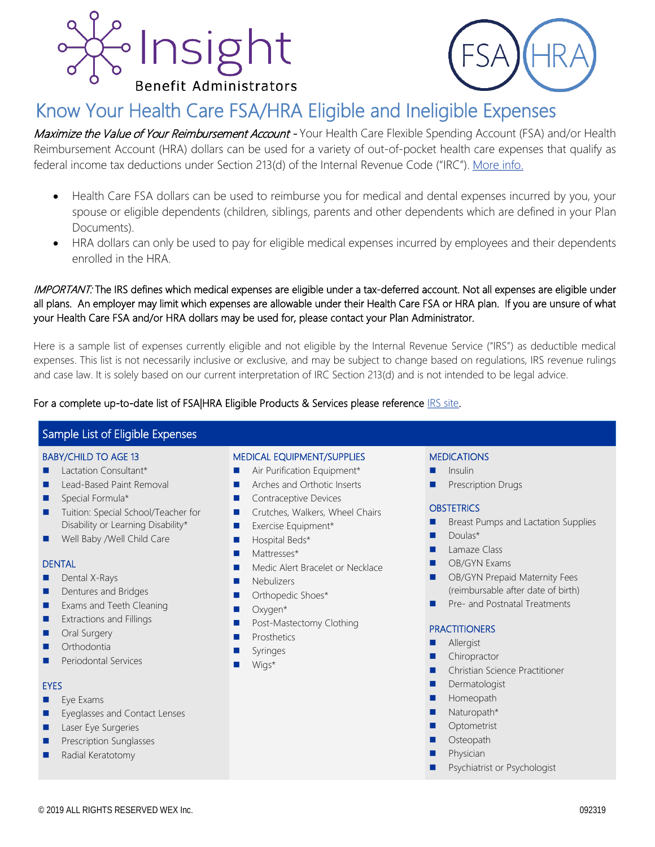



# Know Your Health Care FSA/HRA Eligible and Ineligible Expenses

Maximize the Value of Your Reimbursement Account - Your Health Care Flexible Spending Account (FSA) and/or Health Reimbursement Account (HRA) dollars can be used for a variety of out-of-pocket health care expenses that qualify as federal income tax deductions under Section 213(d) of the Internal Revenue Code ("IRC"). [More info.](https://www.irs.gov/publications/p502#en_US_2018_publink1000178931)

- Health Care FSA dollars can be used to reimburse you for medical and dental expenses incurred by you, your spouse or eligible dependents (children, siblings, parents and other dependents which are defined in your Plan Documents).
- HRA dollars can only be used to pay for eligible medical expenses incurred by employees and their dependents enrolled in the HRA.

### IMPORTANT: The IRS defines which medical expenses are eligible under a tax-deferred account. Not all expenses are eligible under all plans. An employer may limit which expenses are allowable under their Health Care FSA or HRA plan. If you are unsure of what your Health Care FSA and/or HRA dollars may be used for, please contact your Plan Administrator.

Here is a sample list of expenses currently eligible and not eligible by the Internal Revenue Service ("IRS") as deductible medical expenses. This list is not necessarily inclusive or exclusive, and may be subject to change based on regulations, IRS revenue rulings and case law. It is solely based on our current interpretation of IRC Section 213(d) and is not intended to be legal advice.

### For a complete up-to-date list of FSA|HRA Eligible Products & Services please reference **IRS** site.

### Sample List of Eligible Expenses

### BABY/CHILD TO AGE 13

- **Lactation Consultant\***
- **Lead-Based Paint Removal**
- Special Formula\*
- **Tuition: Special School/Teacher for** Disability or Learning Disability\*
- Well Baby /Well Child Care

#### DENTAL

- **Dental X-Rays**
- **Dentures and Bridges**
- **Exams and Teeth Cleaning**
- **EXtractions and Fillings**
- **Dral Surgery**
- **Orthodontia**
- **Periodontal Services**

#### **EYES**

- $Eve Exams$
- Eyeglasses and Contact Lenses
- **Laser Eye Surgeries**
- **Prescription Sunglasses**
- Radial Keratotomy

### MEDICAL EQUIPMENT/SUPPLIES

- **Air Purification Equipment\***
- Arches and Orthotic Inserts
- Contraceptive Devices
- **Crutches, Walkers, Wheel Chairs**
- **EXEL** Exercise Equipment\*
- **Hospital Beds\***
- **Mattresses\***
- **Medic Alert Bracelet or Necklace**
- **Nebulizers**
- **D** Orthopedic Shoes\*
- Oxygen\*
- **Post-Mastectomy Clothing**
- **Prosthetics**
- **Syringes**
- Wigs<sup>\*</sup>

#### **MEDICATIONS**

- Insulin
- **Prescription Drugs**

#### **OBSTETRICS**

- Breast Pumps and Lactation Supplies
- Doulas\*
- **Lamaze Class**
- **D** OB/GYN Exams
- **D** OB/GYN Prepaid Maternity Fees (reimbursable after date of birth)
- **Pre- and Postnatal Treatments**

#### **PRACTITIONERS**

- **Allergist**
- **Chiropractor**
- **E** Christian Science Practitioner
- **Dermatologist**
- **Homeopath**
- Naturopath\*
- Optometrist
- **Osteopath**
- Physician
- Psychiatrist or Psychologist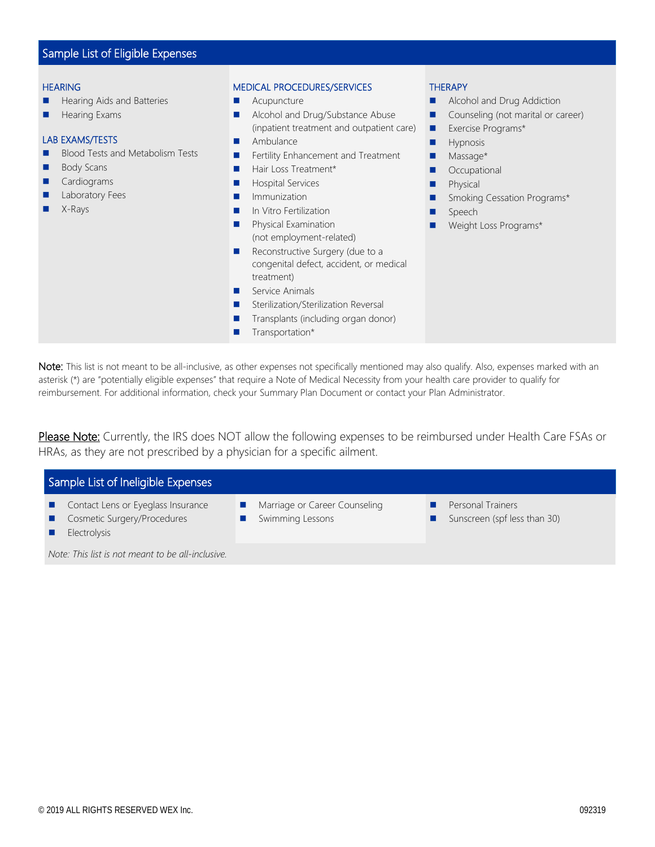## Sample List of Eligible Expenses

#### **HEARING**

- Hearing Aids and Batteries
- **Hearing Exams**

#### LAB EXAMS/TESTS

- **Blood Tests and Metabolism Tests**
- **Body Scans**
- **Cardiograms**
- Laboratory Fees
- X-Rays

#### MEDICAL PROCEDURES/SERVICES

- **Acupuncture**
- **Alcohol and Drug/Substance Abuse** (inpatient treatment and outpatient care)
- **Ambulance**
- **Fertility Enhancement and Treatment**
- Hair Loss Treatment\*
- **Hospital Services**
- **Immunization**
- **In Vitro Fertilization**
- **Physical Examination** (not employment-related)
- Reconstructive Surgery (due to a congenital defect, accident, or medical treatment)
- Service Animals
- Sterilization/Sterilization Reversal
- Transplants (including organ donor)
- **Transportation\***

#### **THERAPY**

- **Alcohol and Drug Addiction**
- Counseling (not marital or career)
- **Exercise Programs\***
- **Hypnosis**
- **Massage\***
- **Occupational**
- **Physical**
- **Smoking Cessation Programs\***
- **Speech**
- **Neight Loss Programs\***

Note: This list is not meant to be all-inclusive, as other expenses not specifically mentioned may also qualify. Also, expenses marked with an asterisk (\*) are "potentially eligible expenses" that require a Note of Medical Necessity from your health care provider to qualify for reimbursement. For additional information, check your Summary Plan Document or contact your Plan Administrator.

Please Note: Currently, the IRS does NOT allow the following expenses to be reimbursed under Health Care FSAs or HRAs, as they are not prescribed by a physician for a specific ailment.

| Sample List of Ineligible Expenses |                                                                   |  |                                                   |  |                                                   |  |  |
|------------------------------------|-------------------------------------------------------------------|--|---------------------------------------------------|--|---------------------------------------------------|--|--|
| a s                                | Contact Lens or Eyeglass Insurance<br>Cosmetic Surgery/Procedures |  | Marriage or Career Counseling<br>Swimming Lessons |  | Personal Trainers<br>Sunscreen (spf less than 30) |  |  |
|                                    | <b>Electrolysis</b>                                               |  |                                                   |  |                                                   |  |  |

*Note: This list is not meant to be all-inclusive.*